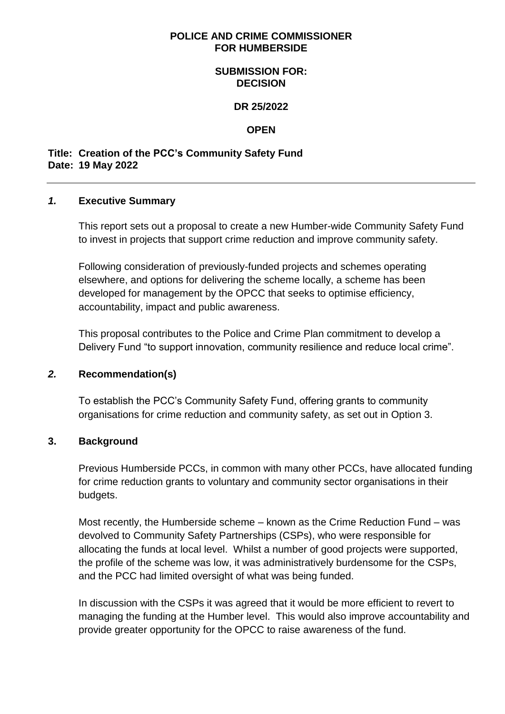#### **POLICE AND CRIME COMMISSIONER FOR HUMBERSIDE**

#### **SUBMISSION FOR: DECISION**

#### **DR 25/2022**

#### **OPEN**

### **Title: Creation of the PCC's Community Safety Fund Date: 19 May 2022**

#### *1.* **Executive Summary**

This report sets out a proposal to create a new Humber-wide Community Safety Fund to invest in projects that support crime reduction and improve community safety.

Following consideration of previously-funded projects and schemes operating elsewhere, and options for delivering the scheme locally, a scheme has been developed for management by the OPCC that seeks to optimise efficiency, accountability, impact and public awareness.

This proposal contributes to the Police and Crime Plan commitment to develop a Delivery Fund "to support innovation, community resilience and reduce local crime".

### *2.* **Recommendation(s)**

To establish the PCC's Community Safety Fund, offering grants to community organisations for crime reduction and community safety, as set out in Option 3.

### **3. Background**

Previous Humberside PCCs, in common with many other PCCs, have allocated funding for crime reduction grants to voluntary and community sector organisations in their budgets.

Most recently, the Humberside scheme – known as the Crime Reduction Fund – was devolved to Community Safety Partnerships (CSPs), who were responsible for allocating the funds at local level. Whilst a number of good projects were supported, the profile of the scheme was low, it was administratively burdensome for the CSPs, and the PCC had limited oversight of what was being funded.

In discussion with the CSPs it was agreed that it would be more efficient to revert to managing the funding at the Humber level. This would also improve accountability and provide greater opportunity for the OPCC to raise awareness of the fund.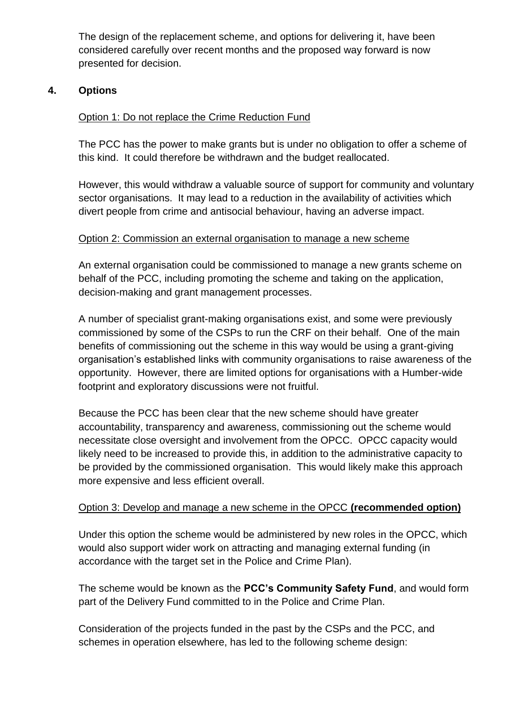The design of the replacement scheme, and options for delivering it, have been considered carefully over recent months and the proposed way forward is now presented for decision.

# **4. Options**

# Option 1: Do not replace the Crime Reduction Fund

The PCC has the power to make grants but is under no obligation to offer a scheme of this kind. It could therefore be withdrawn and the budget reallocated.

However, this would withdraw a valuable source of support for community and voluntary sector organisations. It may lead to a reduction in the availability of activities which divert people from crime and antisocial behaviour, having an adverse impact.

# Option 2: Commission an external organisation to manage a new scheme

An external organisation could be commissioned to manage a new grants scheme on behalf of the PCC, including promoting the scheme and taking on the application, decision-making and grant management processes.

A number of specialist grant-making organisations exist, and some were previously commissioned by some of the CSPs to run the CRF on their behalf. One of the main benefits of commissioning out the scheme in this way would be using a grant-giving organisation's established links with community organisations to raise awareness of the opportunity. However, there are limited options for organisations with a Humber-wide footprint and exploratory discussions were not fruitful.

Because the PCC has been clear that the new scheme should have greater accountability, transparency and awareness, commissioning out the scheme would necessitate close oversight and involvement from the OPCC. OPCC capacity would likely need to be increased to provide this, in addition to the administrative capacity to be provided by the commissioned organisation. This would likely make this approach more expensive and less efficient overall.

# Option 3: Develop and manage a new scheme in the OPCC **(recommended option)**

Under this option the scheme would be administered by new roles in the OPCC, which would also support wider work on attracting and managing external funding (in accordance with the target set in the Police and Crime Plan).

The scheme would be known as the **PCC's Community Safety Fund**, and would form part of the Delivery Fund committed to in the Police and Crime Plan.

Consideration of the projects funded in the past by the CSPs and the PCC, and schemes in operation elsewhere, has led to the following scheme design: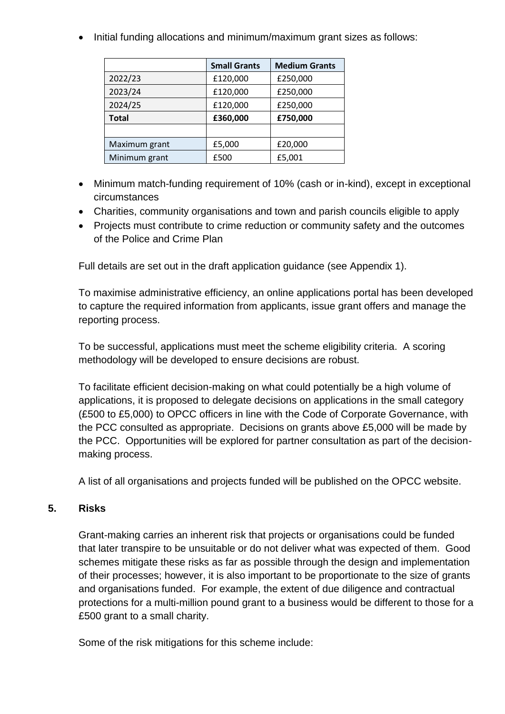• Initial funding allocations and minimum/maximum grant sizes as follows:

|               | <b>Small Grants</b> | <b>Medium Grants</b> |
|---------------|---------------------|----------------------|
| 2022/23       | £120,000            | £250,000             |
| 2023/24       | £120,000            | £250,000             |
| 2024/25       | £120,000            | £250,000             |
| <b>Total</b>  | £360,000            | £750,000             |
|               |                     |                      |
| Maximum grant | £5,000              | £20,000              |
| Minimum grant | £500                | £5,001               |

- Minimum match-funding requirement of 10% (cash or in-kind), except in exceptional circumstances
- Charities, community organisations and town and parish councils eligible to apply
- Projects must contribute to crime reduction or community safety and the outcomes of the Police and Crime Plan

Full details are set out in the draft application guidance (see Appendix 1).

To maximise administrative efficiency, an online applications portal has been developed to capture the required information from applicants, issue grant offers and manage the reporting process.

To be successful, applications must meet the scheme eligibility criteria. A scoring methodology will be developed to ensure decisions are robust.

To facilitate efficient decision-making on what could potentially be a high volume of applications, it is proposed to delegate decisions on applications in the small category (£500 to £5,000) to OPCC officers in line with the Code of Corporate Governance, with the PCC consulted as appropriate. Decisions on grants above £5,000 will be made by the PCC. Opportunities will be explored for partner consultation as part of the decisionmaking process.

A list of all organisations and projects funded will be published on the OPCC website.

# **5. Risks**

Grant-making carries an inherent risk that projects or organisations could be funded that later transpire to be unsuitable or do not deliver what was expected of them. Good schemes mitigate these risks as far as possible through the design and implementation of their processes; however, it is also important to be proportionate to the size of grants and organisations funded. For example, the extent of due diligence and contractual protections for a multi-million pound grant to a business would be different to those for a £500 grant to a small charity.

Some of the risk mitigations for this scheme include: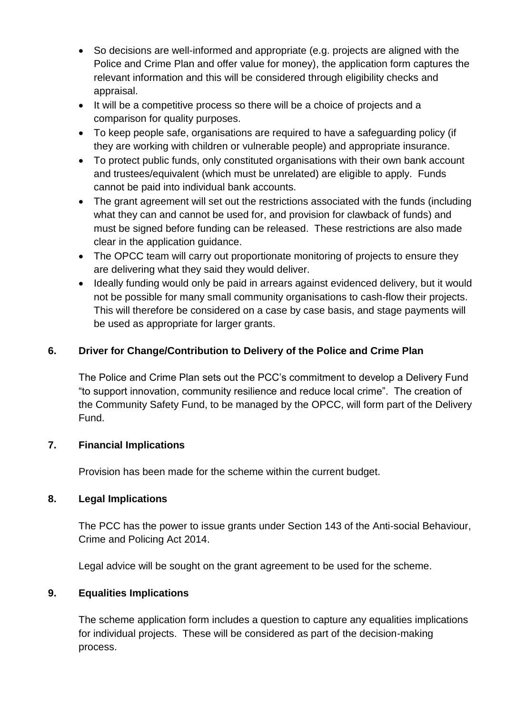- So decisions are well-informed and appropriate (e.g. projects are aligned with the Police and Crime Plan and offer value for money), the application form captures the relevant information and this will be considered through eligibility checks and appraisal.
- It will be a competitive process so there will be a choice of projects and a comparison for quality purposes.
- To keep people safe, organisations are required to have a safeguarding policy (if they are working with children or vulnerable people) and appropriate insurance.
- To protect public funds, only constituted organisations with their own bank account and trustees/equivalent (which must be unrelated) are eligible to apply. Funds cannot be paid into individual bank accounts.
- The grant agreement will set out the restrictions associated with the funds (including what they can and cannot be used for, and provision for clawback of funds) and must be signed before funding can be released. These restrictions are also made clear in the application guidance.
- The OPCC team will carry out proportionate monitoring of projects to ensure they are delivering what they said they would deliver.
- Ideally funding would only be paid in arrears against evidenced delivery, but it would not be possible for many small community organisations to cash-flow their projects. This will therefore be considered on a case by case basis, and stage payments will be used as appropriate for larger grants.

# **6. Driver for Change/Contribution to Delivery of the Police and Crime Plan**

The Police and Crime Plan sets out the PCC's commitment to develop a Delivery Fund "to support innovation, community resilience and reduce local crime". The creation of the Community Safety Fund, to be managed by the OPCC, will form part of the Delivery Fund.

# **7. Financial Implications**

Provision has been made for the scheme within the current budget.

# **8. Legal Implications**

The PCC has the power to issue grants under Section 143 of the Anti-social Behaviour, Crime and Policing Act 2014.

Legal advice will be sought on the grant agreement to be used for the scheme.

# **9. Equalities Implications**

The scheme application form includes a question to capture any equalities implications for individual projects. These will be considered as part of the decision-making process.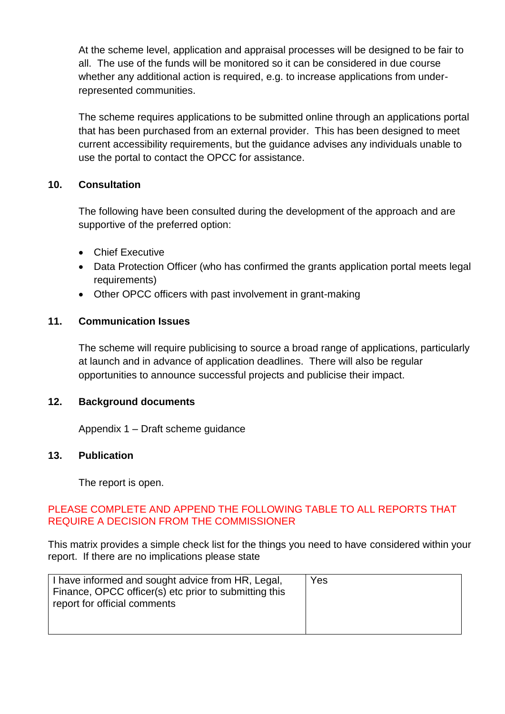At the scheme level, application and appraisal processes will be designed to be fair to all. The use of the funds will be monitored so it can be considered in due course whether any additional action is required, e.g. to increase applications from underrepresented communities.

The scheme requires applications to be submitted online through an applications portal that has been purchased from an external provider. This has been designed to meet current accessibility requirements, but the guidance advises any individuals unable to use the portal to contact the OPCC for assistance.

# **10. Consultation**

The following have been consulted during the development of the approach and are supportive of the preferred option:

- Chief Executive
- Data Protection Officer (who has confirmed the grants application portal meets legal requirements)
- Other OPCC officers with past involvement in grant-making

### **11. Communication Issues**

The scheme will require publicising to source a broad range of applications, particularly at launch and in advance of application deadlines. There will also be regular opportunities to announce successful projects and publicise their impact.

### **12. Background documents**

Appendix 1 – Draft scheme guidance

### **13. Publication**

The report is open.

### PLEASE COMPLETE AND APPEND THE FOLLOWING TABLE TO ALL REPORTS THAT REQUIRE A DECISION FROM THE COMMISSIONER

This matrix provides a simple check list for the things you need to have considered within your report. If there are no implications please state

| I have informed and sought advice from HR, Legal,     | Yes |
|-------------------------------------------------------|-----|
| Finance, OPCC officer(s) etc prior to submitting this |     |
| report for official comments                          |     |
|                                                       |     |
|                                                       |     |